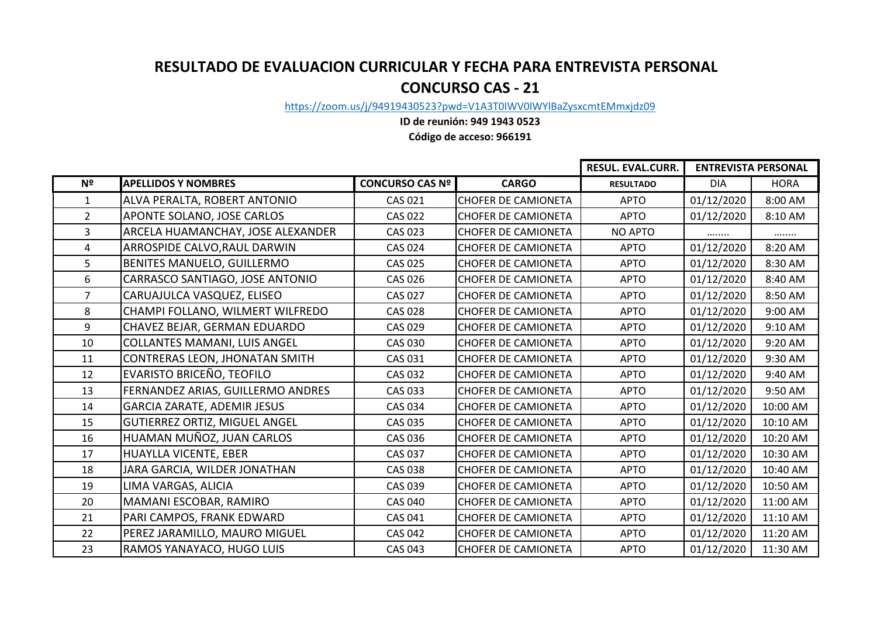## **RESULTADO DE EVALUACION CURRICULAR Y FECHA PARA ENTREVISTA PERSONAL CONCURSO CAS - 21**

[https://zoom.u](https://zoom.us/j/94919430523?pwd=V1A3T0lWV0lWYlBaZysxcmtEMmxjdz09)s/j/94919430523?pwd=V1A3T0lWV0lWYlBaZysxcmtEMmxjdz09

## **ID de reunión: 949 1943 0523**

**Código de acceso: 966191**

|                |                                      |                        |                            | <b>RESUL. EVAL.CURR.</b> | <b>ENTREVISTA PERSONAL</b> |             |
|----------------|--------------------------------------|------------------------|----------------------------|--------------------------|----------------------------|-------------|
| N <sup>2</sup> | <b>APELLIDOS Y NOMBRES</b>           | <b>CONCURSO CAS Nº</b> | <b>CARGO</b>               | <b>RESULTADO</b>         | <b>DIA</b>                 | <b>HORA</b> |
| 1              | ALVA PERALTA, ROBERT ANTONIO         | <b>CAS 021</b>         | <b>CHOFER DE CAMIONETA</b> | <b>APTO</b>              | 01/12/2020                 | 8:00 AM     |
| $\overline{2}$ | APONTE SOLANO, JOSE CARLOS           | <b>CAS 022</b>         | <b>CHOFER DE CAMIONETA</b> | <b>APTO</b>              | 01/12/2020                 | 8:10 AM     |
| 3              | ARCELA HUAMANCHAY, JOSE ALEXANDER    | <b>CAS 023</b>         | <b>CHOFER DE CAMIONETA</b> | NO APTO                  |                            |             |
| 4              | ARROSPIDE CALVO, RAUL DARWIN         | <b>CAS 024</b>         | <b>CHOFER DE CAMIONETA</b> | <b>APTO</b>              | 01/12/2020                 | 8:20 AM     |
| 5              | BENITES MANUELO, GUILLERMO           | <b>CAS 025</b>         | <b>CHOFER DE CAMIONETA</b> | <b>APTO</b>              | 01/12/2020                 | 8:30 AM     |
| 6              | CARRASCO SANTIAGO, JOSE ANTONIO      | <b>CAS 026</b>         | <b>CHOFER DE CAMIONETA</b> | <b>APTO</b>              | 01/12/2020                 | 8:40 AM     |
| $\overline{7}$ | CARUAJULCA VASQUEZ, ELISEO           | <b>CAS 027</b>         | <b>CHOFER DE CAMIONETA</b> | <b>APTO</b>              | 01/12/2020                 | 8:50 AM     |
| 8              | CHAMPI FOLLANO, WILMERT WILFREDO     | <b>CAS 028</b>         | <b>CHOFER DE CAMIONETA</b> | <b>APTO</b>              | 01/12/2020                 | 9:00 AM     |
| 9              | CHAVEZ BEJAR, GERMAN EDUARDO         | <b>CAS 029</b>         | <b>CHOFER DE CAMIONETA</b> | <b>APTO</b>              | 01/12/2020                 | 9:10 AM     |
| 10             | <b>COLLANTES MAMANI, LUIS ANGEL</b>  | <b>CAS 030</b>         | <b>CHOFER DE CAMIONETA</b> | <b>APTO</b>              | 01/12/2020                 | 9:20 AM     |
| 11             | CONTRERAS LEON, JHONATAN SMITH       | CAS 031                | <b>CHOFER DE CAMIONETA</b> | <b>APTO</b>              | 01/12/2020                 | 9:30 AM     |
| 12             | EVARISTO BRICEÑO, TEOFILO            | <b>CAS 032</b>         | <b>CHOFER DE CAMIONETA</b> | <b>APTO</b>              | 01/12/2020                 | 9:40 AM     |
| 13             | FERNANDEZ ARIAS, GUILLERMO ANDRES    | <b>CAS 033</b>         | <b>CHOFER DE CAMIONETA</b> | <b>APTO</b>              | 01/12/2020                 | 9:50 AM     |
| 14             | <b>GARCIA ZARATE, ADEMIR JESUS</b>   | <b>CAS 034</b>         | <b>CHOFER DE CAMIONETA</b> | <b>APTO</b>              | 01/12/2020                 | 10:00 AM    |
| 15             | <b>GUTIERREZ ORTIZ, MIGUEL ANGEL</b> | <b>CAS 035</b>         | <b>CHOFER DE CAMIONETA</b> | <b>APTO</b>              | 01/12/2020                 | 10:10 AM    |
| 16             | HUAMAN MUÑOZ, JUAN CARLOS            | CAS 036                | <b>CHOFER DE CAMIONETA</b> | <b>APTO</b>              | 01/12/2020                 | 10:20 AM    |
| 17             | HUAYLLA VICENTE, EBER                | <b>CAS 037</b>         | <b>CHOFER DE CAMIONETA</b> | <b>APTO</b>              | 01/12/2020                 | 10:30 AM    |
| 18             | JARA GARCIA, WILDER JONATHAN         | <b>CAS 038</b>         | <b>CHOFER DE CAMIONETA</b> | <b>APTO</b>              | 01/12/2020                 | 10:40 AM    |
| 19             | LIMA VARGAS, ALICIA                  | <b>CAS 039</b>         | <b>CHOFER DE CAMIONETA</b> | <b>APTO</b>              | 01/12/2020                 | 10:50 AM    |
| 20             | MAMANI ESCOBAR, RAMIRO               | <b>CAS 040</b>         | <b>CHOFER DE CAMIONETA</b> | <b>APTO</b>              | 01/12/2020                 | 11:00 AM    |
| 21             | PARI CAMPOS, FRANK EDWARD            | CAS 041                | <b>CHOFER DE CAMIONETA</b> | <b>APTO</b>              | 01/12/2020                 | 11:10 AM    |
| 22             | PEREZ JARAMILLO, MAURO MIGUEL        | <b>CAS 042</b>         | <b>CHOFER DE CAMIONETA</b> | <b>APTO</b>              | 01/12/2020                 | 11:20 AM    |
| 23             | RAMOS YANAYACO, HUGO LUIS            | <b>CAS 043</b>         | <b>CHOFER DE CAMIONETA</b> | <b>APTO</b>              | 01/12/2020                 | 11:30 AM    |